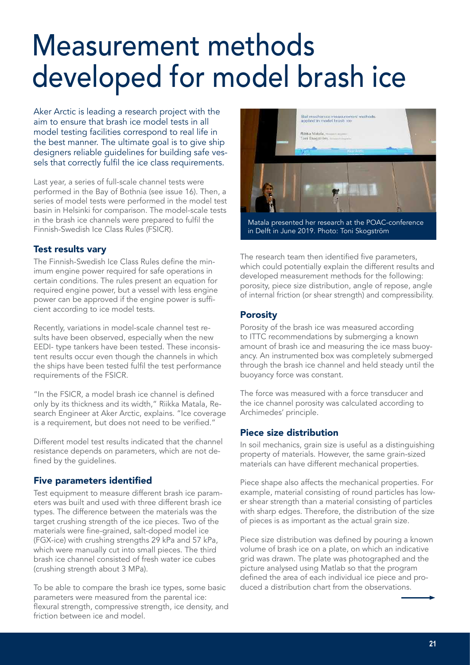# Measurement methods developed for model brash ice

Aker Arctic is leading a research project with the aim to ensure that brash ice model tests in all model testing facilities correspond to real life in the best manner. The ultimate goal is to give ship designers reliable guidelines for building safe vessels that correctly fulfil the ice class requirements.

Last year, a series of full-scale channel tests were performed in the Bay of Bothnia (see issue 16). Then, a series of model tests were performed in the model test basin in Helsinki for comparison. The model-scale tests in the brash ice channels were prepared to fulfil the Finnish-Swedish Ice Class Rules (FSICR).

#### Test results vary

The Finnish-Swedish Ice Class Rules define the minimum engine power required for safe operations in certain conditions. The rules present an equation for required engine power, but a vessel with less engine power can be approved if the engine power is sufficient according to ice model tests.

Recently, variations in model-scale channel test results have been observed, especially when the new EEDI- type tankers have been tested. These inconsistent results occur even though the channels in which the ships have been tested fulfil the test performance requirements of the FSICR.

"In the FSICR, a model brash ice channel is defined only by its thickness and its width," Riikka Matala, Research Engineer at Aker Arctic, explains. "Ice coverage is a requirement, but does not need to be verified."

Different model test results indicated that the channel resistance depends on parameters, which are not defined by the guidelines.

### Five parameters identified

Test equipment to measure different brash ice parameters was built and used with three different brash ice types. The difference between the materials was the target crushing strength of the ice pieces. Two of the materials were fine-grained, salt-doped model ice (FGX-ice) with crushing strengths 29 kPa and 57 kPa, which were manually cut into small pieces. The third brash ice channel consisted of fresh water ice cubes (crushing strength about 3 MPa).

To be able to compare the brash ice types, some basic parameters were measured from the parental ice: flexural strength, compressive strength, ice density, and friction between ice and model.



Matala presented her research at the POAC-conference in Delft in June 2019. Photo: Toni Skogström

The research team then identified five parameters, which could potentially explain the different results and developed measurement methods for the following: porosity, piece size distribution, angle of repose, angle of internal friction (or shear strength) and compressibility.

### **Porosity**

Porosity of the brash ice was measured according to ITTC recommendations by submerging a known amount of brash ice and measuring the ice mass buoyancy. An instrumented box was completely submerged through the brash ice channel and held steady until the buoyancy force was constant.

The force was measured with a force transducer and the ice channel porosity was calculated according to Archimedes' principle.

### Piece size distribution

In soil mechanics, grain size is useful as a distinguishing property of materials. However, the same grain-sized materials can have different mechanical properties.

Piece shape also affects the mechanical properties. For example, material consisting of round particles has lower shear strength than a material consisting of particles with sharp edges. Therefore, the distribution of the size of pieces is as important as the actual grain size.

Piece size distribution was defined by pouring a known volume of brash ice on a plate, on which an indicative grid was drawn. The plate was photographed and the picture analysed using Matlab so that the program defined the area of each individual ice piece and produced a distribution chart from the observations.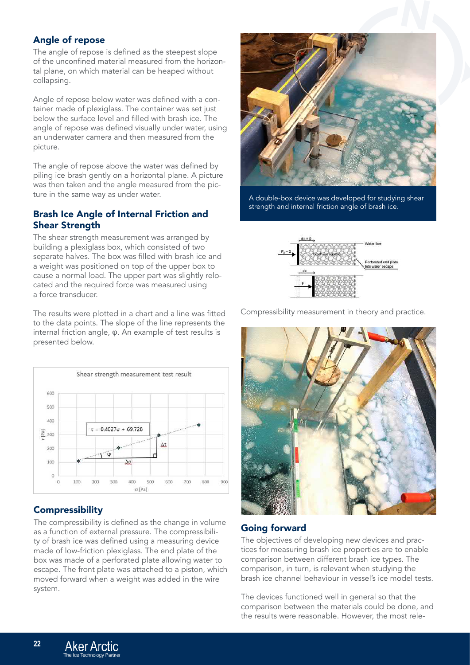## Angle of repose

The angle of repose is defined as the steepest slope of the unconfined material measured from the horizontal plane, on which material can be heaped without collapsing.

Angle of repose below water was defined with a container made of plexiglass. The container was set just below the surface level and filled with brash ice. The angle of repose was defined visually under water, using an underwater camera and then measured from the picture.

The angle of repose above the water was defined by piling ice brash gently on a horizontal plane. A picture was then taken and the angle measured from the picture in the same way as under water.

### Brash Ice Angle of Internal Friction and Shear Strength

The shear strength measurement was arranged by building a plexiglass box, which consisted of two separate halves. The box was filled with brash ice and a weight was positioned on top of the upper box to cause a normal load. The upper part was slightly relocated and the required force was measured using a force transducer.

The results were plotted in a chart and a line was fitted to the data points. The slope of the line represents the internal friction angle, φ. An example of test results is presented below.



## **Compressibility**

The compressibility is defined as the change in volume as a function of external pressure. The compressibility of brash ice was defined using a measuring device made of low-friction plexiglass. The end plate of the box was made of a perforated plate allowing water to escape. The front plate was attached to a piston, which moved forward when a weight was added in the wire system.



A double-box device was developed for studying shear strength and internal friction angle of brash ice.



Compressibility measurement in theory and practice.



### Going forward

The objectives of developing new devices and practices for measuring brash ice properties are to enable comparison between different brash ice types. The comparison, in turn, is relevant when studying the brash ice channel behaviour in vessel's ice model tests.

The devices functioned well in general so that the comparison between the materials could be done, and the results were reasonable. However, the most rele-

**22**